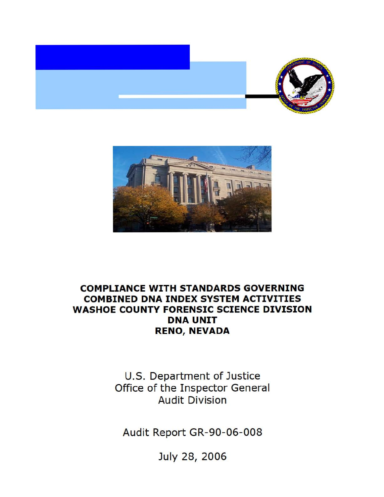



## **COMPLIANCE WITH STANDARDS GOVERNING COMBINED DNA INDEX SYSTEM ACTIVITIES WASHOE COUNTY FORENSIC SCIENCE DIVISION DNA UNIT RENO, NEVADA**

U.S. Department of Justice Office of the Inspector General Audit Division

Audit Report GR-90-06-008

July 28, 2006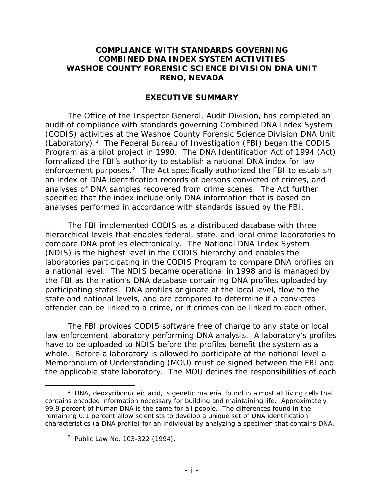## **COMPLIANCE WITH STANDARDS GOVERNING COMBINED DNA INDEX SYSTEM ACTIVITIES WASHOE COUNTY FORENSIC SCIENCE DIVISION DNA UNIT RENO, NEVADA**

## **EXECUTIVE SUMMARY**

The Office of the Inspector General, Audit Division, has completed an audit of compliance with standards governing Combined DNA Index System (CODIS) activities at the Washoe County Forensic Science Division DNA Unit  $(Laboratory).<sup>1</sup>$  The Federal Bureau of Investigation (FBI) began the CODIS Program as a pilot project in 1990. The DNA Identification Act of 1994 (Act) formalized the FBI's authority to establish a national DNA index for law enforcement purposes.<sup>2</sup> The Act specifically authorized the FBI to establish an index of DNA identification records of persons convicted of crimes, and analyses of DNA samples recovered from crime scenes. The Act further specified that the index include only DNA information that is based on analyses performed in accordance with standards issued by the FBI.

The FBI implemented CODIS as a distributed database with three hierarchical levels that enables federal, state, and local crime laboratories to compare DNA profiles electronically. The National DNA Index System (NDIS) is the highest level in the CODIS hierarchy and enables the laboratories participating in the CODIS Program to compare DNA profiles on a national level. The NDIS became operational in 1998 and is managed by the FBI as the nation's DNA database containing DNA profiles uploaded by participating states. DNA profiles originate at the local level, flow to the state and national levels, and are compared to determine if a convicted offender can be linked to a crime, or if crimes can be linked to each other.

The FBI provides CODIS software free of charge to any state or local law enforcement laboratory performing DNA analysis. A laboratory's profiles have to be uploaded to NDIS before the profiles benefit the system as a whole. Before a laboratory is allowed to participate at the national level a Memorandum of Understanding (MOU) must be signed between the FBI and the applicable state laboratory. The MOU defines the responsibilities of each

 $\overline{a}$ 

<sup>&</sup>lt;sup>1</sup> DNA, deoxyribonucleic acid, is genetic material found in almost all living cells that contains encoded information necessary for building and maintaining life. Approximately 99.9 percent of human DNA is the same for all people. The differences found in the remaining 0.1 percent allow scientists to develop a unique set of DNA identification characteristics (a DNA profile) for an individual by analyzing a specimen that contains DNA.

 <sup>2</sup> Public Law No. 103-322 (1994).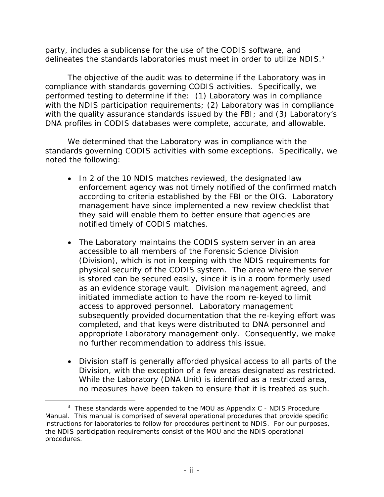party, includes a sublicense for the use of the CODIS software, and delineates the standards laboratories must meet in order to utilize NDIS.<sup>3</sup>

The objective of the audit was to determine if the Laboratory was in compliance with standards governing CODIS activities. Specifically, we performed testing to determine if the: (1) Laboratory was in compliance with the NDIS participation requirements; (2) Laboratory was in compliance with the quality assurance standards issued by the FBI; and (3) Laboratory's DNA profiles in CODIS databases were complete, accurate, and allowable.

We determined that the Laboratory was in compliance with the standards governing CODIS activities with some exceptions. Specifically, we noted the following:

- In 2 of the 10 NDIS matches reviewed, the designated law enforcement agency was not timely notified of the confirmed match according to criteria established by the FBI or the OIG. Laboratory management have since implemented a new review checklist that they said will enable them to better ensure that agencies are notified timely of CODIS matches.
- The Laboratory maintains the CODIS system server in an area accessible to all members of the Forensic Science Division (Division), which is not in keeping with the NDIS requirements for physical security of the CODIS system. The area where the server is stored can be secured easily, since it is in a room formerly used as an evidence storage vault. Division management agreed, and initiated immediate action to have the room re-keyed to limit access to approved personnel. Laboratory management subsequently provided documentation that the re-keying effort was completed, and that keys were distributed to DNA personnel and appropriate Laboratory management only. Consequently, we make no further recommendation to address this issue.
- Division staff is generally afforded physical access to all parts of the Division, with the exception of a few areas designated as restricted. While the Laboratory (DNA Unit) is identified as a restricted area, no measures have been taken to ensure that it is treated as such.

 $\overline{a}$ 

<sup>&</sup>lt;sup>3</sup> These standards were appended to the MOU as Appendix C - NDIS Procedure Manual. This manual is comprised of several operational procedures that provide specific instructions for laboratories to follow for procedures pertinent to NDIS. For our purposes, the NDIS participation requirements consist of the MOU and the NDIS operational procedures.